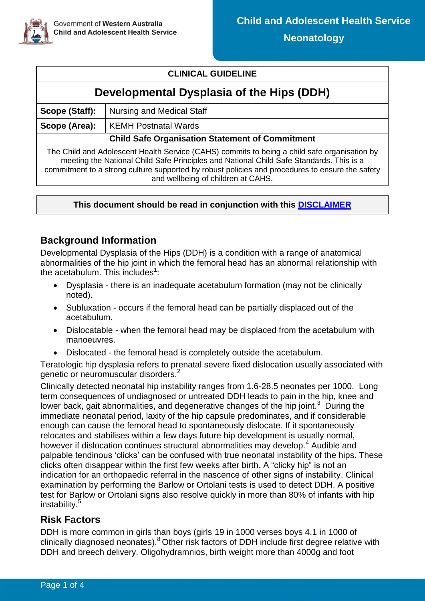

### **CLINICAL GUIDELINE**

# **Developmental Dysplasia of the Hips (DDH)**

| Scope (Staff):                                                                                                                                                                          | Nursing and Medical Staff |  |  |  |
|-----------------------------------------------------------------------------------------------------------------------------------------------------------------------------------------|---------------------------|--|--|--|
| Scope (Area):                                                                                                                                                                           | KEMH Postnatal Wards      |  |  |  |
| <b>Child Safe Organisation Statement of Commitment</b>                                                                                                                                  |                           |  |  |  |
| The Child and Adolescent Health Service (CAHS) commits to being a child safe organisation by<br>meeting the National Child Safe Principles and National Child Safe Standards. This is a |                           |  |  |  |

commitment to a strong culture supported by robust policies and procedures to ensure the safety and wellbeing of children at CAHS.

#### **This document should be read in conjunction with this [DISCLAIMER](https://healthpoint.hdwa.health.wa.gov.au/policies/Policies/CAHS/CAHS.PM.ClinicalDisclaimer.pdf)**

## **Background Information**

Developmental Dysplasia of the Hips (DDH) is a condition with a range of anatomical abnormalities of the hip joint in which the femoral head has an abnormal relationship with the acetabulum. This includes $1$ :

- Dysplasia there is an inadequate acetabulum formation (may not be clinically noted).
- Subluxation occurs if the femoral head can be partially displaced out of the acetabulum.
- Dislocatable when the femoral head may be displaced from the acetabulum with manoeuvres.
- Dislocated the femoral head is completely outside the acetabulum.

Teratologic hip dysplasia refers to prenatal severe fixed dislocation usually associated with genetic or neuromuscular disorders.<sup>2</sup>

Clinically detected neonatal hip instability ranges from 1.6-28.5 neonates per 1000. Long term consequences of undiagnosed or untreated DDH leads to pain in the hip, knee and lower back, gait abnormalities, and degenerative changes of the hip joint. $3$  During the immediate neonatal period, laxity of the hip capsule predominates, and if considerable enough can cause the femoral head to spontaneously dislocate. If it spontaneously relocates and stabilises within a few days future hip development is usually normal, however if dislocation continues structural abnormalities may develop.<sup>4</sup> Audible and palpable tendinous 'clicks' can be confused with true neonatal instability of the hips. These clicks often disappear within the first few weeks after birth. A "clicky hip" is not an indication for an orthopaedic referral in the nascence of other signs of instability. Clinical examination by performing the Barlow or Ortolani tests is used to detect DDH. A positive test for Barlow or Ortolani signs also resolve quickly in more than 80% of infants with hip instability.<sup>5</sup>

### **Risk Factors**

DDH is more common in girls than boys (girls 19 in 1000 verses boys 4.1 in 1000 of clinically diagnosed neonates).<sup>8</sup> Other risk factors of DDH include first degree relative with DDH and breech delivery. Oligohydramnios, birth weight more than 4000g and foot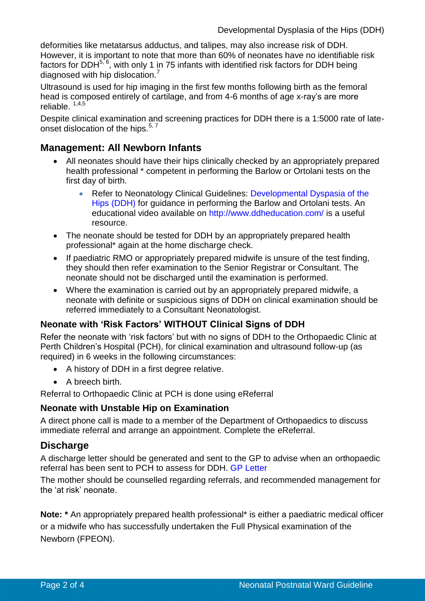deformities like metatarsus adductus, and talipes, may also increase risk of DDH. However, it is important to note that more than 60% of neonates have no identifiable risk factors for DDH<sup>5, 6</sup>, with only 1 in 75 infants with identified risk factors for DDH being diagnosed with hip dislocation.<sup>7</sup>

Ultrasound is used for hip imaging in the first few months following birth as the femoral head is composed entirely of cartilage, and from 4-6 months of age x-ray's are more reliable. 1,4,5

Despite clinical examination and screening practices for DDH there is a 1:5000 rate of lateonset dislocation of the hips.<sup>5,7</sup>

### **Management: All Newborn Infants**

- All neonates should have their hips clinically checked by an appropriately prepared health professional \* competent in performing the Barlow or Ortolani tests on the first day of birth.
	- Refer to Neonatology Clinical Guidelines: Developmental Dyspasia of the [Hips \(DDH\)](https://healthpoint.hdwa.health.wa.gov.au/policies/Policies/CAHS/CAHS.NEO.DevelopmentalDysplasiaoftheHips.pdf) for guidance in performing the Barlow and Ortolani tests. An educational video available on<http://www.ddheducation.com/> is a useful resource.
- The neonate should be tested for DDH by an appropriately prepared health professional\* again at the home discharge check.
- If paediatric RMO or appropriately prepared midwife is unsure of the test finding, they should then refer examination to the Senior Registrar or Consultant. The neonate should not be discharged until the examination is performed.
- Where the examination is carried out by an appropriately prepared midwife, a neonate with definite or suspicious signs of DDH on clinical examination should be referred immediately to a Consultant Neonatologist.

### **Neonate with 'Risk Factors' WITHOUT Clinical Signs of DDH**

Refer the neonate with 'risk factors' but with no signs of DDH to the Orthopaedic Clinic at Perth Children's Hospital (PCH), for clinical examination and ultrasound follow-up (as required) in 6 weeks in the following circumstances:

- A history of DDH in a first degree relative.
- A breech birth.

Referral to Orthopaedic Clinic at PCH is done using eReferral

#### **Neonate with Unstable Hip on Examination**

A direct phone call is made to a member of the Department of Orthopaedics to discuss immediate referral and arrange an appointment. Complete the eReferral.

### **Discharge**

A discharge letter should be generated and sent to the GP to advise when an orthopaedic referral has been sent to PCH to assess for DDH. [GP Letter](https://cahs-healthpoint.hdwa.health.wa.gov.au/Neonatology/Neonatology%20Forms/Developmental%20Dysplasia%20of%20the%20Hips_GP%20Letter.pdf)

The mother should be counselled regarding referrals, and recommended management for the 'at risk' neonate.

**Note: \*** An appropriately prepared health professional\* is either a paediatric medical officer or a midwife who has successfully undertaken the Full Physical examination of the Newborn (FPEON).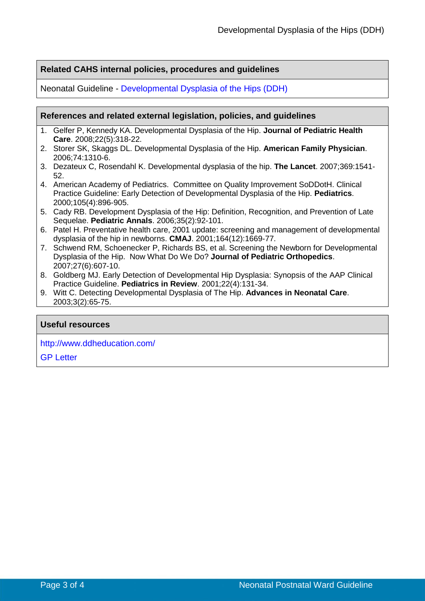#### **Related CAHS internal policies, procedures and guidelines**

Neonatal Guideline - [Developmental Dysplasia of the Hips \(DDH\)](https://healthpoint.hdwa.health.wa.gov.au/policies/Policies/CAHS/CAHS.NEO.DevelopmentalDysplasiaoftheHips.pdf)

#### **References and related external legislation, policies, and guidelines**

- 1. Gelfer P, Kennedy KA. Developmental Dysplasia of the Hip. **Journal of Pediatric Health Care**. 2008;22(5):318-22.
- 2. Storer SK, Skaggs DL. Developmental Dysplasia of the Hip. **American Family Physician**. 2006;74:1310-6.
- 3. Dezateux C, Rosendahl K. Developmental dysplasia of the hip. **The Lancet**. 2007;369:1541- 52.
- 4. American Academy of Pediatrics. Committee on Quality Improvement SoDDotH. Clinical Practice Guideline: Early Detection of Developmental Dysplasia of the Hip. **Pediatrics**. 2000;105(4):896-905.
- 5. Cady RB. Development Dysplasia of the Hip: Definition, Recognition, and Prevention of Late Sequelae. **Pediatric Annals**. 2006;35(2):92-101.
- 6. Patel H. Preventative health care, 2001 update: screening and management of developmental dysplasia of the hip in newborns. **CMAJ**. 2001;164(12):1669-77.
- 7. Schwend RM, Schoenecker P, Richards BS, et al. Screening the Newborn for Developmental Dysplasia of the Hip. Now What Do We Do? **Journal of Pediatric Orthopedics**. 2007;27(6):607-10.
- 8. Goldberg MJ. Early Detection of Developmental Hip Dysplasia: Synopsis of the AAP Clinical Practice Guideline. **Pediatrics in Review**. 2001;22(4):131-34.
- 9. Witt C. Detecting Developmental Dysplasia of The Hip. **Advances in Neonatal Care**. 2003;3(2):65-75.

#### **Useful resources**

<http://www.ddheducation.com/>

[GP Letter](https://cahs-healthpoint.hdwa.health.wa.gov.au/Neonatology/Neonatology%20Forms/Developmental%20Dysplasia%20of%20the%20Hips_GP%20Letter.pdf)